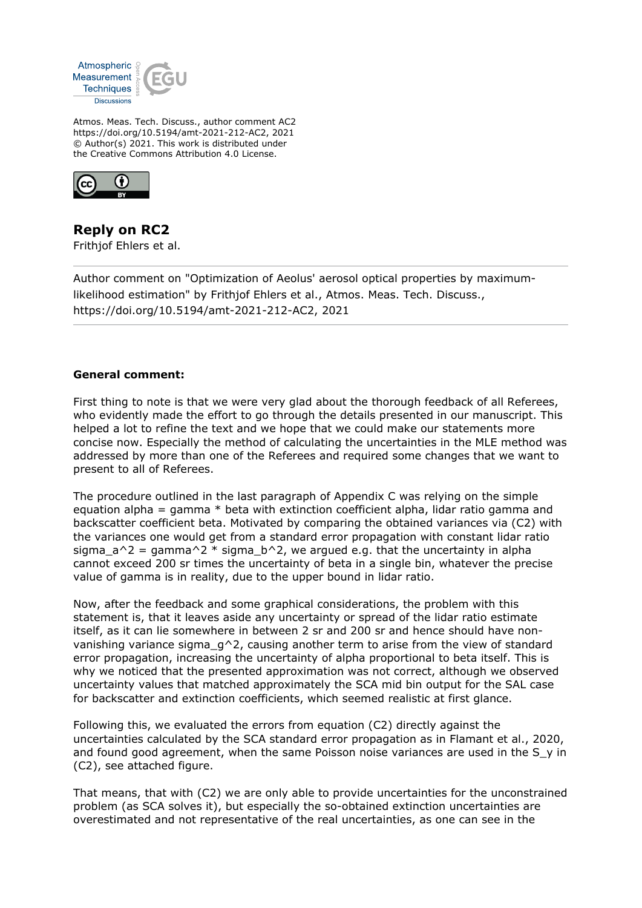

Atmos. Meas. Tech. Discuss., author comment AC2 https://doi.org/10.5194/amt-2021-212-AC2, 2021 © Author(s) 2021. This work is distributed under the Creative Commons Attribution 4.0 License.



**Reply on RC2** Frithjof Ehlers et al.

Author comment on "Optimization of Aeolus' aerosol optical properties by maximumlikelihood estimation" by Frithjof Ehlers et al., Atmos. Meas. Tech. Discuss., https://doi.org/10.5194/amt-2021-212-AC2, 2021

## **General comment:**

First thing to note is that we were very glad about the thorough feedback of all Referees, who evidently made the effort to go through the details presented in our manuscript. This helped a lot to refine the text and we hope that we could make our statements more concise now. Especially the method of calculating the uncertainties in the MLE method was addressed by more than one of the Referees and required some changes that we want to present to all of Referees.

The procedure outlined in the last paragraph of Appendix C was relying on the simple equation alpha = gamma  $*$  beta with extinction coefficient alpha, lidar ratio gamma and backscatter coefficient beta. Motivated by comparing the obtained variances via (C2) with the variances one would get from a standard error propagation with constant lidar ratio sigma  $a^2$  = gamma<sup>2</sup> \* sigma b<sup>2</sup>, we argued e.g. that the uncertainty in alpha cannot exceed 200 sr times the uncertainty of beta in a single bin, whatever the precise value of gamma is in reality, due to the upper bound in lidar ratio.

Now, after the feedback and some graphical considerations, the problem with this statement is, that it leaves aside any uncertainty or spread of the lidar ratio estimate itself, as it can lie somewhere in between 2 sr and 200 sr and hence should have nonvanishing variance sigma  $q^2$ , causing another term to arise from the view of standard error propagation, increasing the uncertainty of alpha proportional to beta itself. This is why we noticed that the presented approximation was not correct, although we observed uncertainty values that matched approximately the SCA mid bin output for the SAL case for backscatter and extinction coefficients, which seemed realistic at first glance.

Following this, we evaluated the errors from equation (C2) directly against the uncertainties calculated by the SCA standard error propagation as in Flamant et al., 2020, and found good agreement, when the same Poisson noise variances are used in the S y in (C2), see attached figure.

That means, that with (C2) we are only able to provide uncertainties for the unconstrained problem (as SCA solves it), but especially the so-obtained extinction uncertainties are overestimated and not representative of the real uncertainties, as one can see in the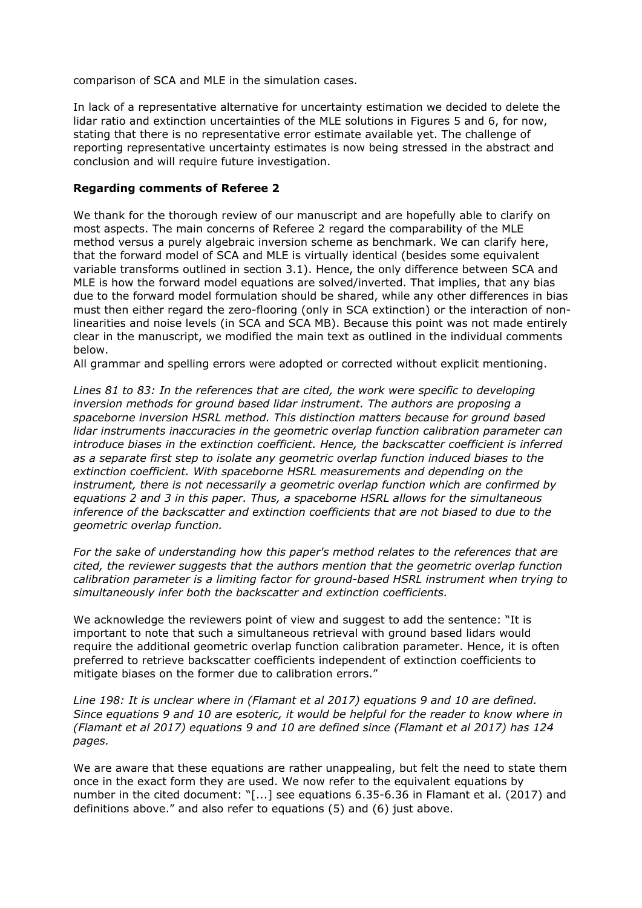comparison of SCA and MLE in the simulation cases.

In lack of a representative alternative for uncertainty estimation we decided to delete the lidar ratio and extinction uncertainties of the MLE solutions in Figures 5 and 6, for now, stating that there is no representative error estimate available yet. The challenge of reporting representative uncertainty estimates is now being stressed in the abstract and conclusion and will require future investigation.

## **Regarding comments of Referee 2**

We thank for the thorough review of our manuscript and are hopefully able to clarify on most aspects. The main concerns of Referee 2 regard the comparability of the MLE method versus a purely algebraic inversion scheme as benchmark. We can clarify here, that the forward model of SCA and MLE is virtually identical (besides some equivalent variable transforms outlined in section 3.1). Hence, the only difference between SCA and MLE is how the forward model equations are solved/inverted. That implies, that any bias due to the forward model formulation should be shared, while any other differences in bias must then either regard the zero-flooring (only in SCA extinction) or the interaction of nonlinearities and noise levels (in SCA and SCA MB). Because this point was not made entirely clear in the manuscript, we modified the main text as outlined in the individual comments below.

All grammar and spelling errors were adopted or corrected without explicit mentioning.

*Lines 81 to 83: In the references that are cited, the work were specific to developing inversion methods for ground based lidar instrument. The authors are proposing a spaceborne inversion HSRL method. This distinction matters because for ground based lidar instruments inaccuracies in the geometric overlap function calibration parameter can introduce biases in the extinction coefficient. Hence, the backscatter coefficient is inferred as a separate first step to isolate any geometric overlap function induced biases to the extinction coefficient. With spaceborne HSRL measurements and depending on the instrument, there is not necessarily a geometric overlap function which are confirmed by equations 2 and 3 in this paper. Thus, a spaceborne HSRL allows for the simultaneous inference of the backscatter and extinction coefficients that are not biased to due to the geometric overlap function.* 

*For the sake of understanding how this paper's method relates to the references that are cited, the reviewer suggests that the authors mention that the geometric overlap function calibration parameter is a limiting factor for ground-based HSRL instrument when trying to simultaneously infer both the backscatter and extinction coefficients.* 

We acknowledge the reviewers point of view and suggest to add the sentence: "It is important to note that such a simultaneous retrieval with ground based lidars would require the additional geometric overlap function calibration parameter. Hence, it is often preferred to retrieve backscatter coefficients independent of extinction coefficients to mitigate biases on the former due to calibration errors."

*Line 198: It is unclear where in (Flamant et al 2017) equations 9 and 10 are defined. Since equations 9 and 10 are esoteric, it would be helpful for the reader to know where in (Flamant et al 2017) equations 9 and 10 are defined since (Flamant et al 2017) has 124 pages.* 

We are aware that these equations are rather unappealing, but felt the need to state them once in the exact form they are used. We now refer to the equivalent equations by number in the cited document: "[...] see equations 6.35-6.36 in Flamant et al. (2017) and definitions above." and also refer to equations (5) and (6) just above.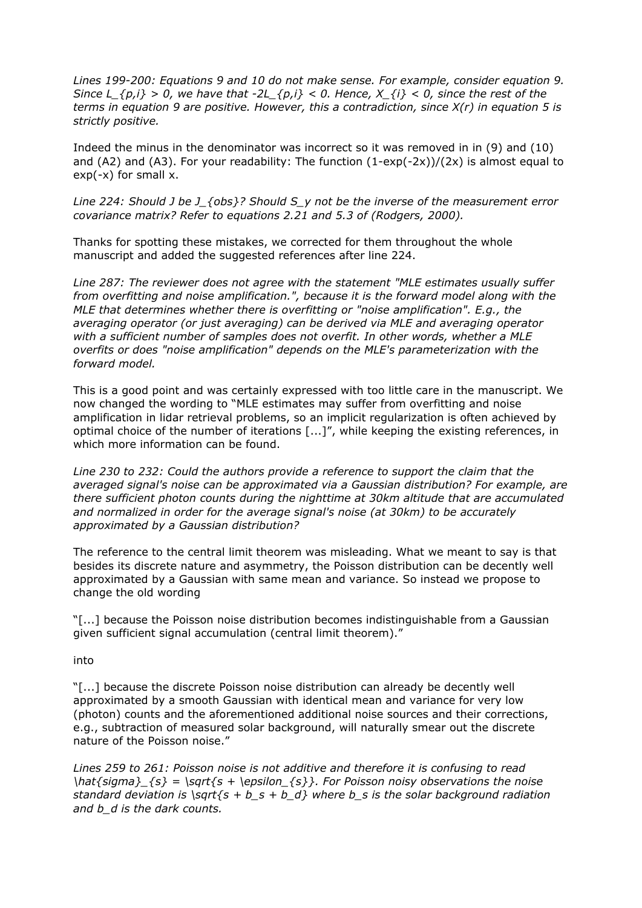*Lines 199-200: Equations 9 and 10 do not make sense. For example, consider equation 9. Since L<sub>\_{p,i}</sub> > 0, we have that -2L\_{p,i} < 0. Hence,*  $X_{i}$ *} < 0, since the rest of the terms in equation 9 are positive. However, this a contradiction, since X(r) in equation 5 is strictly positive.* 

Indeed the minus in the denominator was incorrect so it was removed in in (9) and (10) and (A2) and (A3). For your readability: The function  $(1-exp(-2x))/(2x)$  is almost equal to  $exp(-x)$  for small x.

*Line 224: Should J be J\_{obs}? Should S\_y not be the inverse of the measurement error covariance matrix? Refer to equations 2.21 and 5.3 of (Rodgers, 2000).* 

Thanks for spotting these mistakes, we corrected for them throughout the whole manuscript and added the suggested references after line 224.

*Line 287: The reviewer does not agree with the statement "MLE estimates usually suffer from overfitting and noise amplification.", because it is the forward model along with the MLE that determines whether there is overfitting or "noise amplification". E.g., the averaging operator (or just averaging) can be derived via MLE and averaging operator with a sufficient number of samples does not overfit. In other words, whether a MLE overfits or does "noise amplification" depends on the MLE's parameterization with the forward model.* 

This is a good point and was certainly expressed with too little care in the manuscript. We now changed the wording to "MLE estimates may suffer from overfitting and noise amplification in lidar retrieval problems, so an implicit regularization is often achieved by optimal choice of the number of iterations [...]", while keeping the existing references, in which more information can be found.

*Line 230 to 232: Could the authors provide a reference to support the claim that the averaged signal's noise can be approximated via a Gaussian distribution? For example, are there sufficient photon counts during the nighttime at 30km altitude that are accumulated and normalized in order for the average signal's noise (at 30km) to be accurately approximated by a Gaussian distribution?* 

The reference to the central limit theorem was misleading. What we meant to say is that besides its discrete nature and asymmetry, the Poisson distribution can be decently well approximated by a Gaussian with same mean and variance. So instead we propose to change the old wording

"[...] because the Poisson noise distribution becomes indistinguishable from a Gaussian given sufficient signal accumulation (central limit theorem)."

into

"[...] because the discrete Poisson noise distribution can already be decently well approximated by a smooth Gaussian with identical mean and variance for very low (photon) counts and the aforementioned additional noise sources and their corrections, e.g., subtraction of measured solar background, will naturally smear out the discrete nature of the Poisson noise."

*Lines 259 to 261: Poisson noise is not additive and therefore it is confusing to read \hat{sigma}\_{s} = \sqrt{s + \epsilon\_{s}}. For Poisson noisy observations the noise standard deviation is \sqrt{s + b\_s + b\_d} where b\_s is the solar background radiation and b\_d is the dark counts.*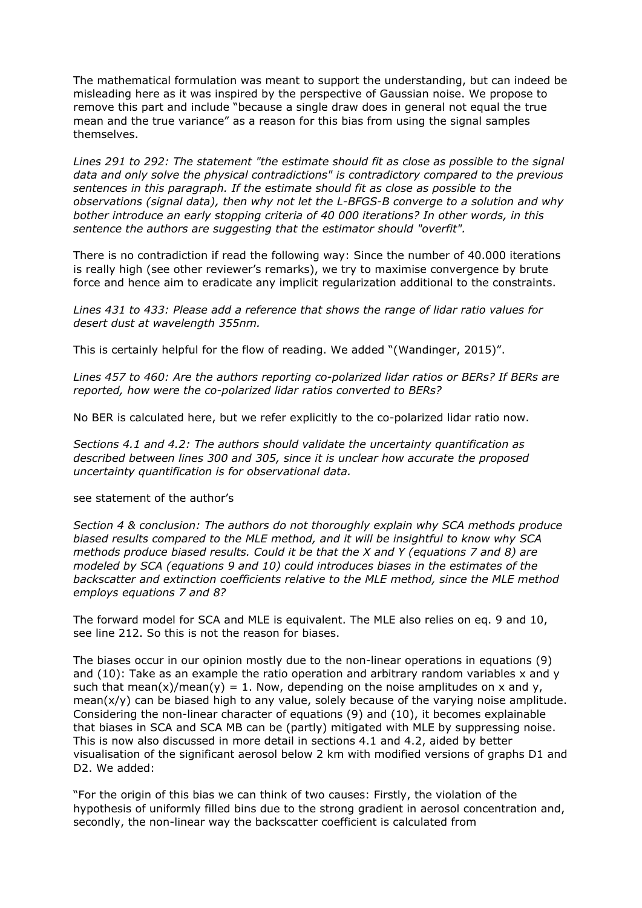The mathematical formulation was meant to support the understanding, but can indeed be misleading here as it was inspired by the perspective of Gaussian noise. We propose to remove this part and include "because a single draw does in general not equal the true mean and the true variance" as a reason for this bias from using the signal samples themselves.

*Lines 291 to 292: The statement "the estimate should fit as close as possible to the signal data and only solve the physical contradictions" is contradictory compared to the previous sentences in this paragraph. If the estimate should fit as close as possible to the observations (signal data), then why not let the L-BFGS-B converge to a solution and why bother introduce an early stopping criteria of 40 000 iterations? In other words, in this sentence the authors are suggesting that the estimator should "overfit".* 

There is no contradiction if read the following way: Since the number of 40.000 iterations is really high (see other reviewer's remarks), we try to maximise convergence by brute force and hence aim to eradicate any implicit regularization additional to the constraints.

*Lines 431 to 433: Please add a reference that shows the range of lidar ratio values for desert dust at wavelength 355nm.*

This is certainly helpful for the flow of reading. We added "(Wandinger, 2015)".

*Lines 457 to 460: Are the authors reporting co-polarized lidar ratios or BERs? If BERs are reported, how were the co-polarized lidar ratios converted to BERs?*

No BER is calculated here, but we refer explicitly to the co-polarized lidar ratio now.

*Sections 4.1 and 4.2: The authors should validate the uncertainty quantification as described between lines 300 and 305, since it is unclear how accurate the proposed uncertainty quantification is for observational data.* 

## see statement of the author's

*Section 4 & conclusion: The authors do not thoroughly explain why SCA methods produce biased results compared to the MLE method, and it will be insightful to know why SCA methods produce biased results. Could it be that the X and Y (equations 7 and 8) are modeled by SCA (equations 9 and 10) could introduces biases in the estimates of the backscatter and extinction coefficients relative to the MLE method, since the MLE method employs equations 7 and 8?*

The forward model for SCA and MLE is equivalent. The MLE also relies on eq. 9 and 10, see line 212. So this is not the reason for biases.

The biases occur in our opinion mostly due to the non-linear operations in equations (9) and  $(10)$ : Take as an example the ratio operation and arbitrary random variables x and y such that mean(x)/mean(y) = 1. Now, depending on the noise amplitudes on x and y, mean( $x/y$ ) can be biased high to any value, solely because of the varying noise amplitude. Considering the non-linear character of equations (9) and (10), it becomes explainable that biases in SCA and SCA MB can be (partly) mitigated with MLE by suppressing noise. This is now also discussed in more detail in sections 4.1 and 4.2, aided by better visualisation of the significant aerosol below 2 km with modified versions of graphs D1 and D2. We added:

"For the origin of this bias we can think of two causes: Firstly, the violation of the hypothesis of uniformly filled bins due to the strong gradient in aerosol concentration and, secondly, the non-linear way the backscatter coefficient is calculated from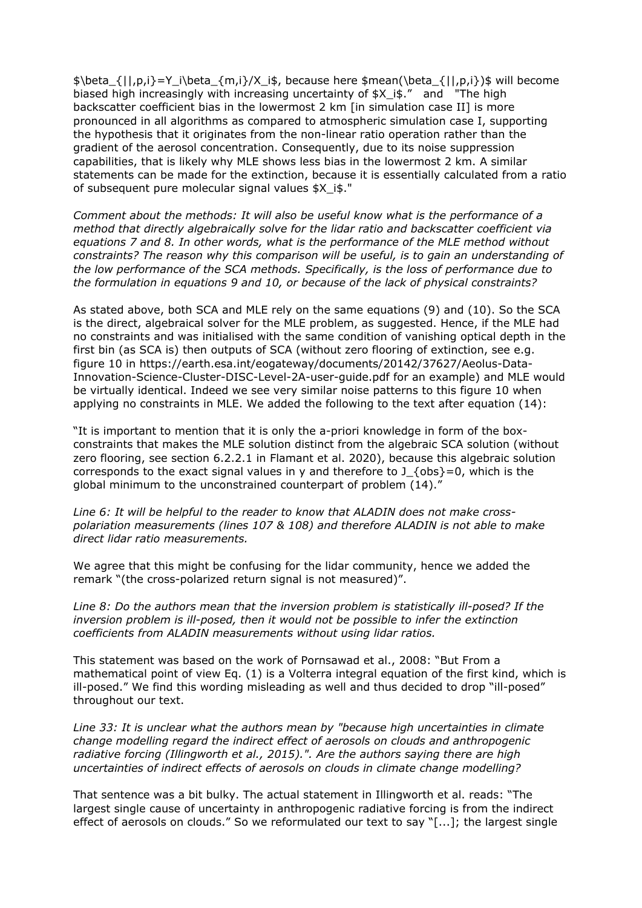$\theta_{|p,i}=Y_i\beta_{m,i}/X_i\$ . because here \$mean(\beta {||,p,i})\$ will become biased high increasingly with increasing uncertainty of \$X i\$." and "The high backscatter coefficient bias in the lowermost 2 km [in simulation case II] is more pronounced in all algorithms as compared to atmospheric simulation case I, supporting the hypothesis that it originates from the non-linear ratio operation rather than the gradient of the aerosol concentration. Consequently, due to its noise suppression capabilities, that is likely why MLE shows less bias in the lowermost 2 km. A similar statements can be made for the extinction, because it is essentially calculated from a ratio of subsequent pure molecular signal values \$X\_i\$."

*Comment about the methods: It will also be useful know what is the performance of a method that directly algebraically solve for the lidar ratio and backscatter coefficient via equations 7 and 8. In other words, what is the performance of the MLE method without constraints? The reason why this comparison will be useful, is to gain an understanding of the low performance of the SCA methods. Specifically, is the loss of performance due to the formulation in equations 9 and 10, or because of the lack of physical constraints?*

As stated above, both SCA and MLE rely on the same equations (9) and (10). So the SCA is the direct, algebraical solver for the MLE problem, as suggested. Hence, if the MLE had no constraints and was initialised with the same condition of vanishing optical depth in the first bin (as SCA is) then outputs of SCA (without zero flooring of extinction, see e.g. figure 10 in https://earth.esa.int/eogateway/documents/20142/37627/Aeolus-Data-Innovation-Science-Cluster-DISC-Level-2A-user-guide.pdf for an example) and MLE would be virtually identical. Indeed we see very similar noise patterns to this figure 10 when applying no constraints in MLE. We added the following to the text after equation (14):

"It is important to mention that it is only the a-priori knowledge in form of the boxconstraints that makes the MLE solution distinct from the algebraic SCA solution (without zero flooring, see section 6.2.2.1 in Flamant et al. 2020), because this algebraic solution corresponds to the exact signal values in y and therefore to J  $\{obs\}=0$ , which is the global minimum to the unconstrained counterpart of problem (14)."

*Line 6: It will be helpful to the reader to know that ALADIN does not make crosspolariation measurements (lines 107 & 108) and therefore ALADIN is not able to make direct lidar ratio measurements.* 

We agree that this might be confusing for the lidar community, hence we added the remark "(the cross-polarized return signal is not measured)".

*Line 8: Do the authors mean that the inversion problem is statistically ill-posed? If the inversion problem is ill-posed, then it would not be possible to infer the extinction coefficients from ALADIN measurements without using lidar ratios.* 

This statement was based on the work of Pornsawad et al., 2008: "But From a mathematical point of view Eq. (1) is a Volterra integral equation of the first kind, which is ill-posed." We find this wording misleading as well and thus decided to drop "ill-posed" throughout our text.

*Line 33: It is unclear what the authors mean by "because high uncertainties in climate change modelling regard the indirect effect of aerosols on clouds and anthropogenic radiative forcing (Illingworth et al., 2015).". Are the authors saying there are high uncertainties of indirect effects of aerosols on clouds in climate change modelling?*

That sentence was a bit bulky. The actual statement in Illingworth et al. reads: "The largest single cause of uncertainty in anthropogenic radiative forcing is from the indirect effect of aerosols on clouds." So we reformulated our text to say "[...]; the largest single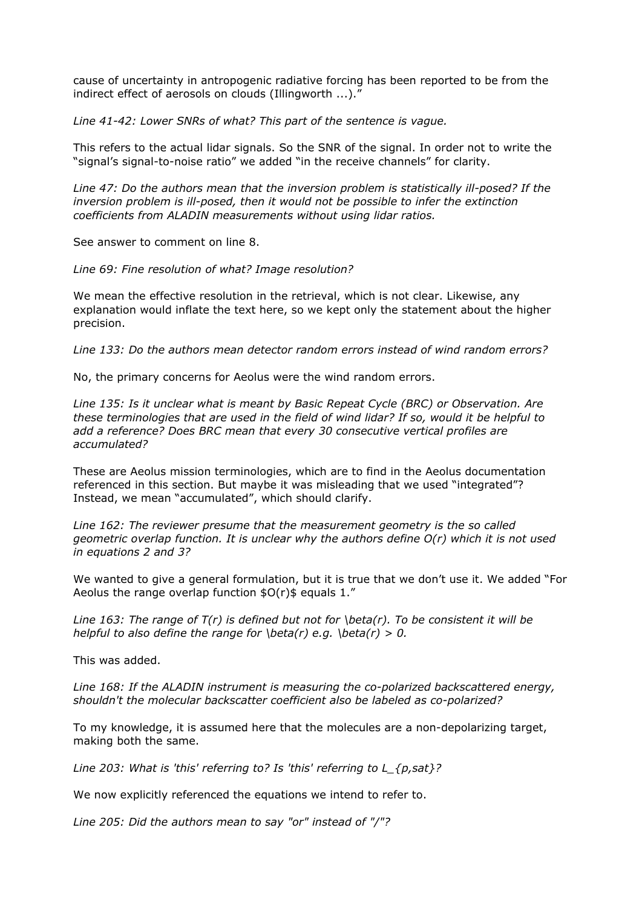cause of uncertainty in antropogenic radiative forcing has been reported to be from the indirect effect of aerosols on clouds (Illingworth ...)."

*Line 41-42: Lower SNRs of what? This part of the sentence is vague.* 

This refers to the actual lidar signals. So the SNR of the signal. In order not to write the "signal's signal-to-noise ratio" we added "in the receive channels" for clarity.

*Line 47: Do the authors mean that the inversion problem is statistically ill-posed? If the inversion problem is ill-posed, then it would not be possible to infer the extinction coefficients from ALADIN measurements without using lidar ratios.* 

See answer to comment on line 8.

*Line 69: Fine resolution of what? Image resolution?*

We mean the effective resolution in the retrieval, which is not clear. Likewise, any explanation would inflate the text here, so we kept only the statement about the higher precision.

*Line 133: Do the authors mean detector random errors instead of wind random errors?* 

No, the primary concerns for Aeolus were the wind random errors.

*Line 135: Is it unclear what is meant by Basic Repeat Cycle (BRC) or Observation. Are these terminologies that are used in the field of wind lidar? If so, would it be helpful to add a reference? Does BRC mean that every 30 consecutive vertical profiles are accumulated?* 

These are Aeolus mission terminologies, which are to find in the Aeolus documentation referenced in this section. But maybe it was misleading that we used "integrated"? Instead, we mean "accumulated", which should clarify.

*Line 162: The reviewer presume that the measurement geometry is the so called geometric overlap function. It is unclear why the authors define O(r) which it is not used in equations 2 and 3?*

We wanted to give a general formulation, but it is true that we don't use it. We added "For Aeolus the range overlap function  $$O(r)$$  equals 1."

*Line 163: The range of T(r) is defined but not for \beta(r). To be consistent it will be helpful to also define the range for \beta(r) e.g. \beta(r) > 0.*

This was added.

*Line 168: If the ALADIN instrument is measuring the co-polarized backscattered energy, shouldn't the molecular backscatter coefficient also be labeled as co-polarized?* 

To my knowledge, it is assumed here that the molecules are a non-depolarizing target, making both the same.

*Line 203: What is 'this' referring to? Is 'this' referring to L\_{p,sat}?*

We now explicitly referenced the equations we intend to refer to.

*Line 205: Did the authors mean to say "or" instead of "/"?*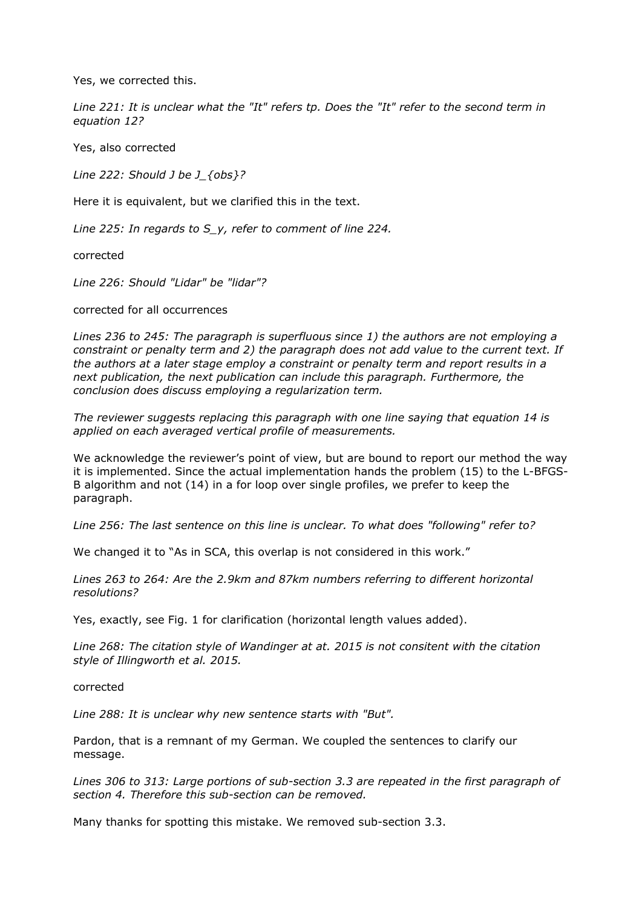Yes, we corrected this.

*Line 221: It is unclear what the "It" refers tp. Does the "It" refer to the second term in equation 12?*

Yes, also corrected

*Line 222: Should J be J\_{obs}?*

Here it is equivalent, but we clarified this in the text.

*Line 225: In regards to S\_y, refer to comment of line 224.* 

corrected

*Line 226: Should "Lidar" be "lidar"?*

corrected for all occurrences

*Lines 236 to 245: The paragraph is superfluous since 1) the authors are not employing a constraint or penalty term and 2) the paragraph does not add value to the current text. If the authors at a later stage employ a constraint or penalty term and report results in a next publication, the next publication can include this paragraph. Furthermore, the conclusion does discuss employing a regularization term.* 

*The reviewer suggests replacing this paragraph with one line saying that equation 14 is applied on each averaged vertical profile of measurements.* 

We acknowledge the reviewer's point of view, but are bound to report our method the way it is implemented. Since the actual implementation hands the problem (15) to the L-BFGS-B algorithm and not (14) in a for loop over single profiles, we prefer to keep the paragraph.

*Line 256: The last sentence on this line is unclear. To what does "following" refer to?*

We changed it to "As in SCA, this overlap is not considered in this work."

*Lines 263 to 264: Are the 2.9km and 87km numbers referring to different horizontal resolutions?* 

Yes, exactly, see Fig. 1 for clarification (horizontal length values added).

*Line 268: The citation style of Wandinger at at. 2015 is not consitent with the citation style of Illingworth et al. 2015.*

corrected

*Line 288: It is unclear why new sentence starts with "But".* 

Pardon, that is a remnant of my German. We coupled the sentences to clarify our message.

*Lines 306 to 313: Large portions of sub-section 3.3 are repeated in the first paragraph of section 4. Therefore this sub-section can be removed.* 

Many thanks for spotting this mistake. We removed sub-section 3.3.